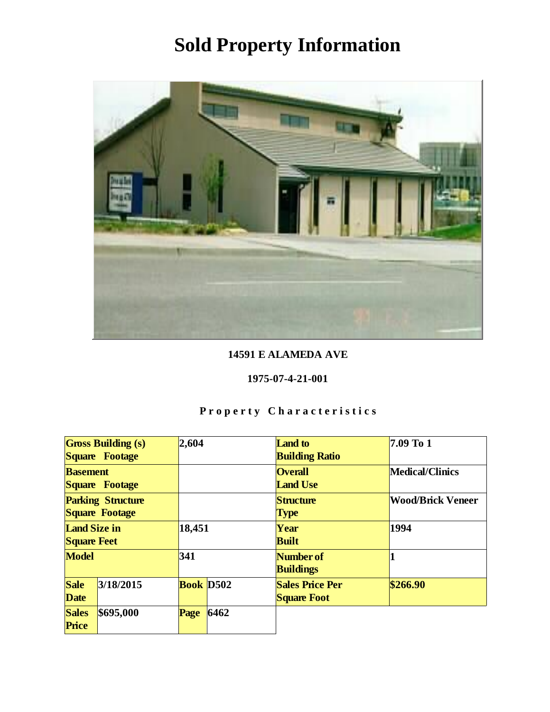

#### 14591 E ALAMEDA AVE

#### 1975-07-4-21-001

| <b>Gross Building (s)</b><br>Square Footage |           | 2,604     |      | Land to<br><b>Building Ratio</b>             | 7.09 To 1                |
|---------------------------------------------|-----------|-----------|------|----------------------------------------------|--------------------------|
| <b>Basement</b><br>Square Footage           |           |           |      | <b>Overall</b><br><b>Land Use</b>            | Medical/Clinics          |
| <b>Parking Structure</b><br>Square Footage  |           |           |      | Structure<br><b>Type</b>                     | <b>Wood/Brick Veneer</b> |
| Land Size in<br><b>Square Feet</b>          |           | 18,451    |      | Year<br><b>Built</b>                         | 1994                     |
| Model                                       |           | 341       |      | Number of<br><b>Buildings</b>                |                          |
| <b>Sale</b><br>Date                         | 3/18/2015 | Book D502 |      | <b>Sales Price Per</b><br><b>Square Foot</b> | \$266.90                 |
| <b>Sales</b><br>Price                       | \$695,000 | Page      | 6462 |                                              |                          |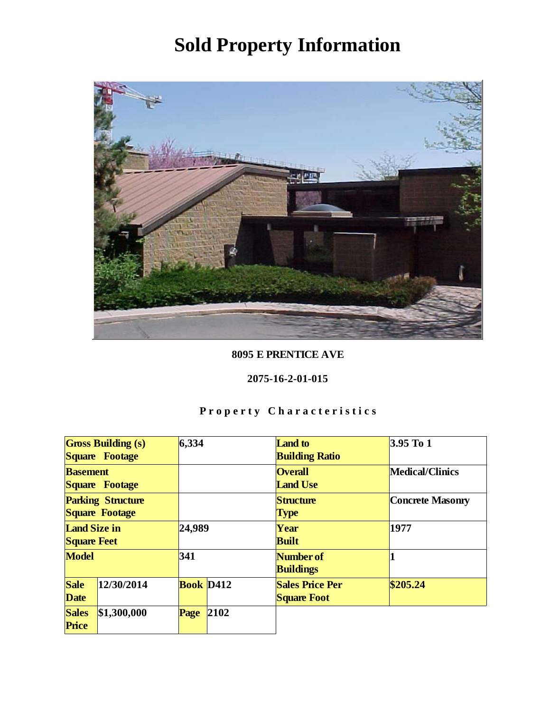

8095 E PRENTICE AVE

2075-16-2-01-015

| <b>Gross Building (s)</b><br>Square Footage |             | 6,334     |      | <b>Land</b> to<br><b>Building Ratio</b>      | $3.95$ To 1             |
|---------------------------------------------|-------------|-----------|------|----------------------------------------------|-------------------------|
| <b>Basement</b><br>Square Footage           |             |           |      | <b>Overall</b><br><b>Land Use</b>            | Medical/Clinics         |
| <b>Parking Structure</b><br>Square Footage  |             |           |      | Structure<br><b>Type</b>                     | <b>Concrete Masonry</b> |
| Land Size in<br><b>Square Feet</b>          |             | 24,989    |      | Year<br><b>Built</b>                         | 1977                    |
| Model                                       |             | 341       |      | Number of<br><b>Buildings</b>                |                         |
| Sale<br>Date                                | 12/30/2014  | Book D412 |      | <b>Sales Price Per</b><br><b>Square Foot</b> | \$205.24                |
| <b>Sales</b><br>Price                       | \$1,300,000 | Page      | 2102 |                                              |                         |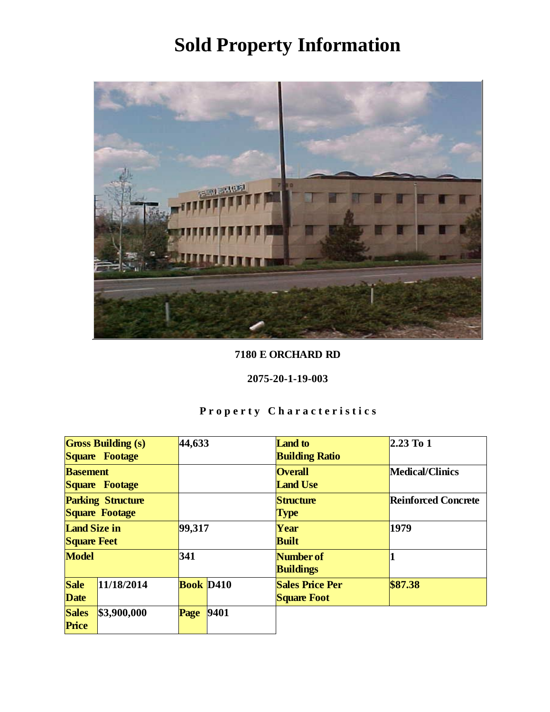

#### 7180 E ORCHARD RD

#### 2075-20-1-19-003

| <b>Gross Building (s)</b> |             | 44,633           |      | <b>Land</b> to         | $2.23$ To 1                |
|---------------------------|-------------|------------------|------|------------------------|----------------------------|
| Square Footage            |             |                  |      | <b>Building Ratio</b>  |                            |
| <b>Basement</b>           |             |                  |      | <b>Overall</b>         | Medical/Clinics            |
| Square Footage            |             |                  |      | <b>Land Use</b>        |                            |
| <b>Parking Structure</b>  |             |                  |      | Structure              | <b>Reinforced Concrete</b> |
| Square Footage            |             |                  |      | <b>Type</b>            |                            |
| Land Size in              |             | 99,317           |      | Year                   | 1979                       |
| <b>Square Feet</b>        |             |                  |      | <b>Built</b>           |                            |
| Model                     |             | 341              |      | Number of              |                            |
|                           |             |                  |      | <b>Buildings</b>       |                            |
| Sale                      | 11/18/2014  | <b>Book</b> D410 |      | <b>Sales Price Per</b> | \$87.38                    |
| Date                      |             |                  |      | <b>Square Foot</b>     |                            |
| <b>Sales</b>              | \$3,900,000 | Page             | 9401 |                        |                            |
| Price                     |             |                  |      |                        |                            |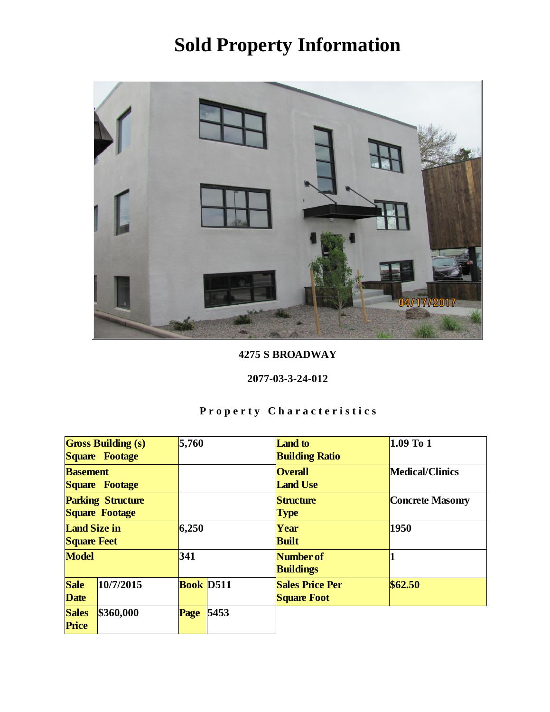

4275 S BROADWAY

2077-03-3-24-012

| <b>Gross Building (s)</b><br>Square Footage |           | 5,760            |      | Land to<br><b>Building Ratio</b>             | 1.09 To 1               |
|---------------------------------------------|-----------|------------------|------|----------------------------------------------|-------------------------|
| <b>Basement</b><br>Square Footage           |           |                  |      | <b>Overall</b><br><b>Land Use</b>            | Medical/Clinics         |
| <b>Parking Structure</b><br>Square Footage  |           |                  |      | Structure<br><b>Type</b>                     | <b>Concrete Masonry</b> |
| Land Size in<br><b>Square Feet</b>          |           | 6,250            |      | Year<br><b>Built</b>                         | 1950                    |
| Model                                       |           | 341              |      | Number of<br><b>Buildings</b>                |                         |
| Sale<br>Date                                | 10/7/2015 | <b>Book</b> D511 |      | <b>Sales Price Per</b><br><b>Square Foot</b> | \$62.50                 |
| <b>Sales</b><br>Price                       | \$360,000 | Page             | 5453 |                                              |                         |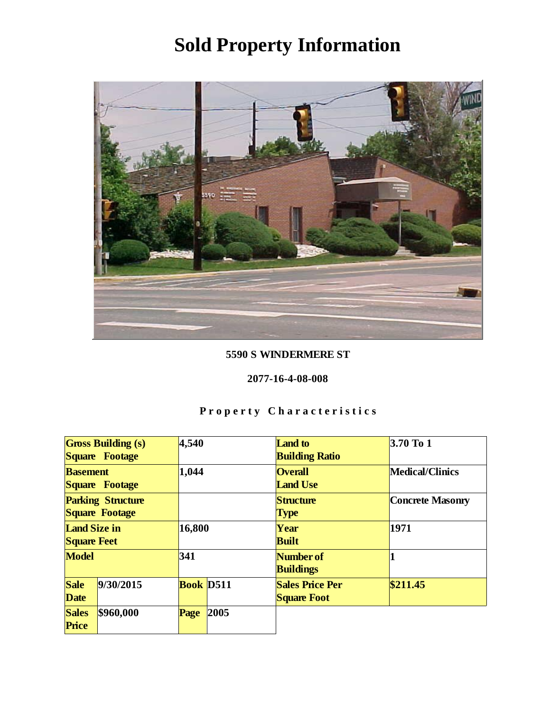

#### 5590 S WINDERMERE ST

#### 2077-16-4-08-008

| <b>Gross Building (s)</b><br>Square Footage |           | 4,540     |      | <b>Land</b> to<br><b>Building Ratio</b>      | $3.70$ To 1      |
|---------------------------------------------|-----------|-----------|------|----------------------------------------------|------------------|
| <b>Basement</b><br>Square Footage           |           | 1,044     |      | <b>Overall</b><br><b>Land Use</b>            | Medical/Clinics  |
| <b>Parking Structure</b><br>Square Footage  |           |           |      | Structure<br>Type                            | Concrete Masonry |
| Land Size in<br><b>Square Feet</b>          |           | 16,800    |      | Year<br><b>Built</b>                         | 1971             |
| Model                                       |           | 341       |      | Number of<br><b>Buildings</b>                |                  |
| Sale<br>Date                                | 9/30/2015 | Book D511 |      | <b>Sales Price Per</b><br><b>Square Foot</b> | \$211.45         |
| <b>Sales</b><br>Price                       | \$960,000 | Page      | 2005 |                                              |                  |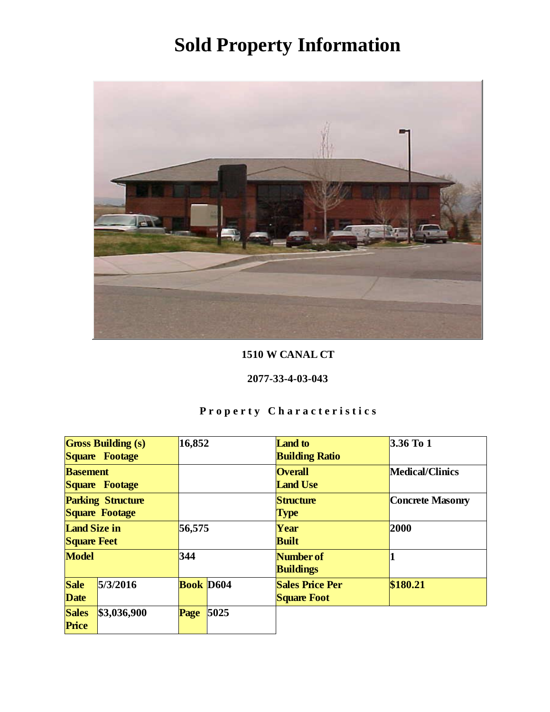

#### 1510 W CANAL CT

#### 2077-33-4-03-043

| <b>Gross Building (s)</b><br>Square Footage |             | 16,852           |      | <b>Land</b> to<br><b>Building Ratio</b>      | $3.36$ To 1      |
|---------------------------------------------|-------------|------------------|------|----------------------------------------------|------------------|
| <b>Basement</b><br>Square Footage           |             |                  |      | <b>Overall</b><br><b>Land Use</b>            | Medical/Clinics  |
| <b>Parking Structure</b><br>Square Footage  |             |                  |      | Structure<br><b>Type</b>                     | Concrete Masonry |
| Land Size in<br><b>Square Feet</b>          |             | 56,575           |      | Year<br><b>Built</b>                         | 2000             |
| Model                                       |             | 344              |      | Number of<br><b>Buildings</b>                |                  |
| Sale<br>Date                                | 5/3/2016    | <b>Book</b> D604 |      | <b>Sales Price Per</b><br><b>Square Foot</b> | \$180.21         |
| <b>Sales</b><br>Price                       | \$3,036,900 | Page             | 5025 |                                              |                  |